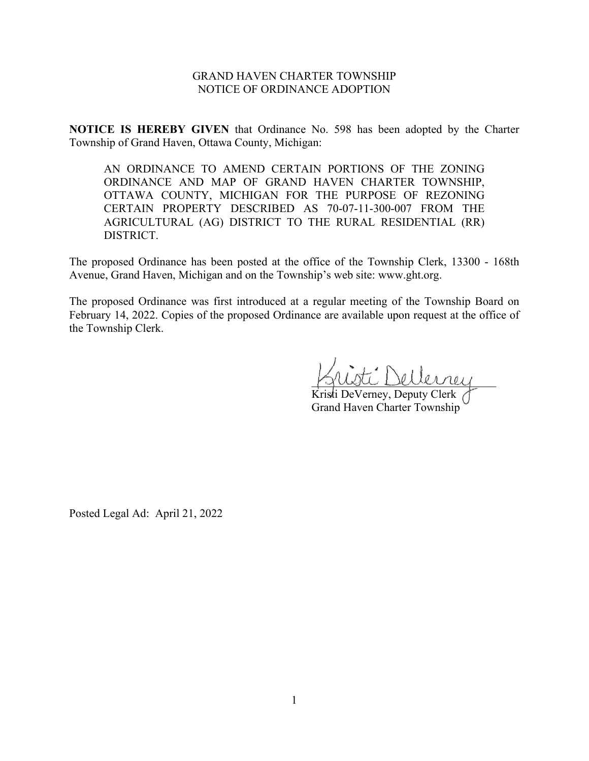## GRAND HAVEN CHARTER TOWNSHIP NOTICE OF ORDINANCE ADOPTION

**NOTICE IS HEREBY GIVEN** that Ordinance No. 598 has been adopted by the Charter Township of Grand Haven, Ottawa County, Michigan:

AN ORDINANCE TO AMEND CERTAIN PORTIONS OF THE ZONING ORDINANCE AND MAP OF GRAND HAVEN CHARTER TOWNSHIP, OTTAWA COUNTY, MICHIGAN FOR THE PURPOSE OF REZONING CERTAIN PROPERTY DESCRIBED AS 70-07-11-300-007 FROM THE AGRICULTURAL (AG) DISTRICT TO THE RURAL RESIDENTIAL (RR) DISTRICT.

The proposed Ordinance has been posted at the office of the Township Clerk, 13300 - 168th Avenue, Grand Haven, Michigan and on the Township's web site: www.ght.org.

The proposed Ordinance was first introduced at a regular meeting of the Township Board on February 14, 2022. Copies of the proposed Ordinance are available upon request at the office of the Township Clerk.

\_\_\_\_\_\_\_\_\_\_\_\_\_\_\_\_\_\_\_\_\_\_\_\_\_\_\_\_\_\_\_\_

Kristi DeVerney, Deputy Clerk Grand Haven Charter Township

Posted Legal Ad: April 21, 2022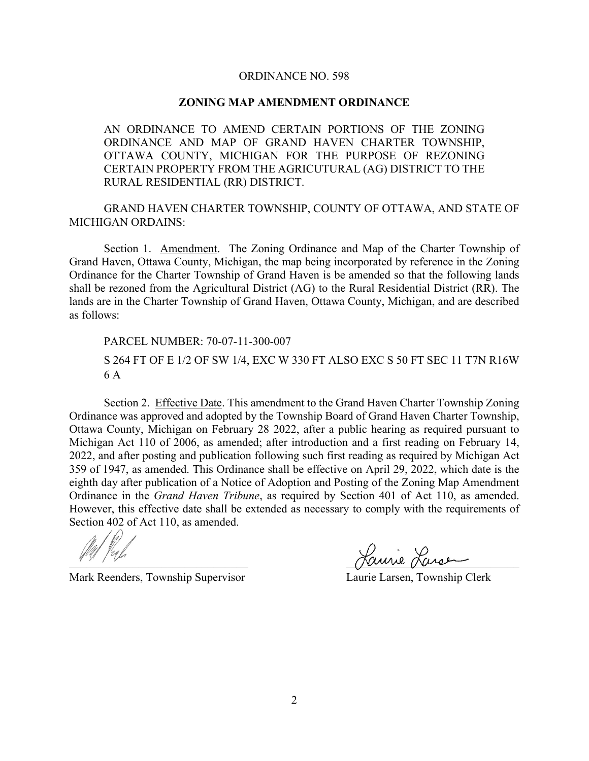## ORDINANCE NO. 598

## **ZONING MAP AMENDMENT ORDINANCE**

AN ORDINANCE TO AMEND CERTAIN PORTIONS OF THE ZONING ORDINANCE AND MAP OF GRAND HAVEN CHARTER TOWNSHIP, OTTAWA COUNTY, MICHIGAN FOR THE PURPOSE OF REZONING CERTAIN PROPERTY FROM THE AGRICUTURAL (AG) DISTRICT TO THE RURAL RESIDENTIAL (RR) DISTRICT.

GRAND HAVEN CHARTER TOWNSHIP, COUNTY OF OTTAWA, AND STATE OF MICHIGAN ORDAINS:

Section 1. Amendment. The Zoning Ordinance and Map of the Charter Township of Grand Haven, Ottawa County, Michigan, the map being incorporated by reference in the Zoning Ordinance for the Charter Township of Grand Haven is be amended so that the following lands shall be rezoned from the Agricultural District (AG) to the Rural Residential District (RR). The lands are in the Charter Township of Grand Haven, Ottawa County, Michigan, and are described as follows:

PARCEL NUMBER: 70-07-11-300-007

S 264 FT OF E 1/2 OF SW 1/4, EXC W 330 FT ALSO EXC S 50 FT SEC 11 T7N R16W 6 A

Section 2. Effective Date. This amendment to the Grand Haven Charter Township Zoning Ordinance was approved and adopted by the Township Board of Grand Haven Charter Township, Ottawa County, Michigan on February 28 2022, after a public hearing as required pursuant to Michigan Act 110 of 2006, as amended; after introduction and a first reading on February 14, 2022, and after posting and publication following such first reading as required by Michigan Act 359 of 1947, as amended. This Ordinance shall be effective on April 29, 2022, which date is the eighth day after publication of a Notice of Adoption and Posting of the Zoning Map Amendment Ordinance in the *Grand Haven Tribune*, as required by Section 401 of Act 110, as amended. However, this effective date shall be extended as necessary to comply with the requirements of Section 402 of Act 110, as amended.

Mark Reenders, Township Supervisor Laurie Larsen, Township Clerk

rom and the contract of the contract of the contract of the contract of the contract of the contract of the contract of the contract of the contract of the contract of the contract of the contract of the contract of the co